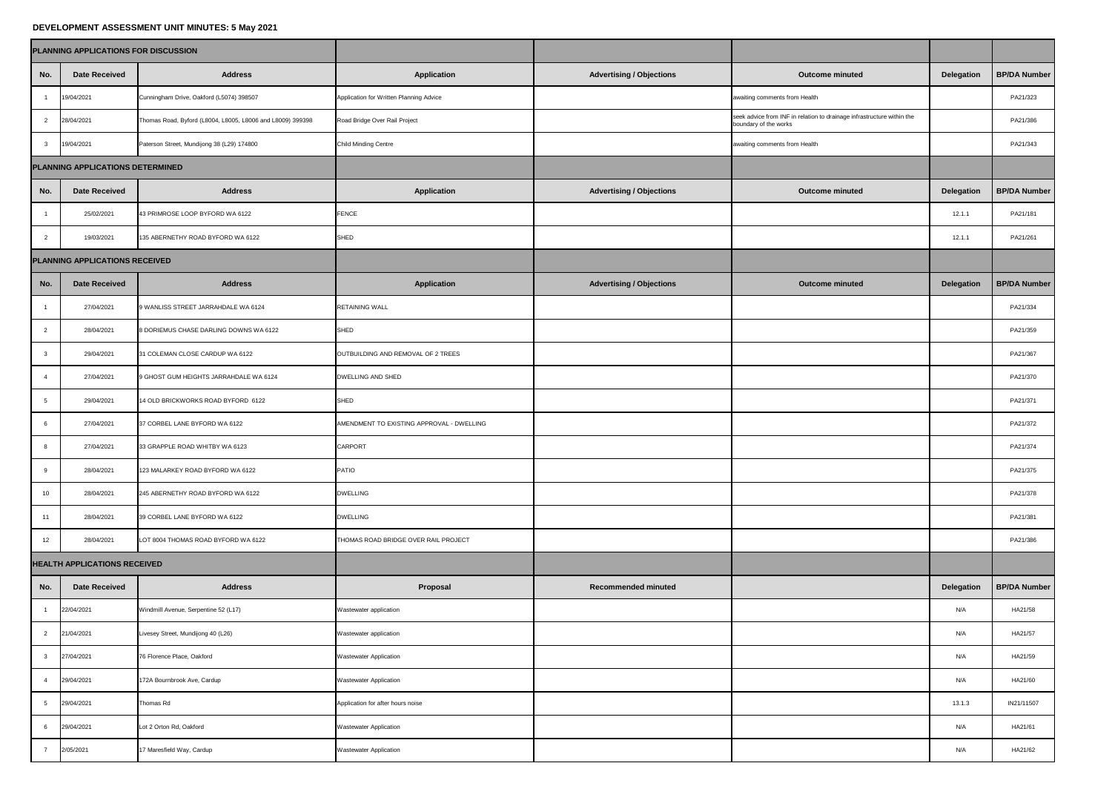## **DEVELOPMENT ASSESSMENT UNIT MINUTES: 5 May 2021**

|                                  | PLANNING APPLICATIONS FOR DISCUSSION |                                                            |                                           |                                 |                                                                                                 |                   |                     |
|----------------------------------|--------------------------------------|------------------------------------------------------------|-------------------------------------------|---------------------------------|-------------------------------------------------------------------------------------------------|-------------------|---------------------|
| No.                              | <b>Date Received</b>                 | <b>Address</b>                                             | <b>Application</b>                        | <b>Advertising / Objections</b> | <b>Outcome minuted</b>                                                                          | <b>Delegation</b> | <b>BP/DA Number</b> |
|                                  | 19/04/2021                           | Cunningham Drive, Oakford (L5074) 398507                   | Application for Written Planning Advice   |                                 | awaiting comments from Health                                                                   |                   | PA21/323            |
| $\overline{2}$                   | 28/04/2021                           | Thomas Road, Byford (L8004, L8005, L8006 and L8009) 399398 | Road Bridge Over Rail Project             |                                 | seek advice from INF in relation to drainage infrastructure within the<br>boundary of the works |                   | PA21/386            |
|                                  | 19/04/2021                           | Paterson Street, Mundijong 38 (L29) 174800                 | <b>Child Minding Centre</b>               |                                 | awaiting comments from Health                                                                   |                   | PA21/343            |
| PLANNING APPLICATIONS DETERMINED |                                      |                                                            |                                           |                                 |                                                                                                 |                   |                     |
| No.                              | <b>Date Received</b>                 | <b>Address</b>                                             | <b>Application</b>                        | <b>Advertising / Objections</b> | <b>Outcome minuted</b>                                                                          | <b>Delegation</b> | <b>BP/DA Number</b> |
|                                  | 25/02/2021                           | 43 PRIMROSE LOOP BYFORD WA 6122                            | FENCE                                     |                                 |                                                                                                 | 12.1.1            | PA21/181            |
| 2                                | 19/03/2021                           | 135 ABERNETHY ROAD BYFORD WA 6122                          | <b>SHED</b>                               |                                 |                                                                                                 | 12.1.1            | PA21/261            |
| PLANNING APPLICATIONS RECEIVED   |                                      |                                                            |                                           |                                 |                                                                                                 |                   |                     |
| No.                              | <b>Date Received</b>                 | <b>Address</b>                                             | <b>Application</b>                        | <b>Advertising / Objections</b> | <b>Outcome minuted</b>                                                                          | <b>Delegation</b> | <b>BP/DA Number</b> |
|                                  | 27/04/2021                           | 9 WANLISS STREET JARRAHDALE WA 6124                        | <b>RETAINING WALL</b>                     |                                 |                                                                                                 |                   | PA21/334            |
|                                  | 28/04/2021                           | 8 DORIEMUS CHASE DARLING DOWNS WA 6122                     | <b>SHED</b>                               |                                 |                                                                                                 |                   | PA21/359            |
|                                  | 29/04/2021                           | 31 COLEMAN CLOSE CARDUP WA 6122                            | OUTBUILDING AND REMOVAL OF 2 TREES        |                                 |                                                                                                 |                   | PA21/367            |
|                                  | 27/04/2021                           | 9 GHOST GUM HEIGHTS JARRAHDALE WA 6124                     | <b>DWELLING AND SHED</b>                  |                                 |                                                                                                 |                   | PA21/370            |
|                                  | 29/04/2021                           | 14 OLD BRICKWORKS ROAD BYFORD 6122                         | <b>SHED</b>                               |                                 |                                                                                                 |                   | PA21/371            |
|                                  | 27/04/2021                           | 37 CORBEL LANE BYFORD WA 6122                              | AMENDMENT TO EXISTING APPROVAL - DWELLING |                                 |                                                                                                 |                   | PA21/372            |
|                                  | 27/04/2021                           | 33 GRAPPLE ROAD WHITBY WA 6123                             | <b>CARPORT</b>                            |                                 |                                                                                                 |                   | PA21/374            |
|                                  | 28/04/2021                           | 123 MALARKEY ROAD BYFORD WA 6122                           | <b>PATIO</b>                              |                                 |                                                                                                 |                   | PA21/375            |
| 10 <sup>°</sup>                  | 28/04/2021                           | 245 ABERNETHY ROAD BYFORD WA 6122                          | <b>DWELLING</b>                           |                                 |                                                                                                 |                   | PA21/378            |
| 11                               | 28/04/2021                           | 39 CORBEL LANE BYFORD WA 6122                              | <b>DWELLING</b>                           |                                 |                                                                                                 |                   | PA21/381            |
| 12                               | 28/04/2021                           | LOT 8004 THOMAS ROAD BYFORD WA 6122                        | THOMAS ROAD BRIDGE OVER RAIL PROJECT      |                                 |                                                                                                 |                   | PA21/386            |
|                                  | <b>HEALTH APPLICATIONS RECEIVED</b>  |                                                            |                                           |                                 |                                                                                                 |                   |                     |
| No.                              | <b>Date Received</b>                 | <b>Address</b>                                             | Proposal                                  | <b>Recommended minuted</b>      |                                                                                                 | <b>Delegation</b> | <b>BP/DA Number</b> |
|                                  | 22/04/2021                           | Windmill Avenue, Serpentine 52 (L17)                       | Wastewater application                    |                                 |                                                                                                 | N/A               | HA21/58             |
| $\overline{2}$                   | 21/04/2021                           | Livesey Street, Mundijong 40 (L26)                         | Wastewater application                    |                                 |                                                                                                 | N/A               | HA21/57             |
|                                  | 27/04/2021                           | 76 Florence Place, Oakford                                 | <b>Wastewater Application</b>             |                                 |                                                                                                 | N/A               | HA21/59             |
|                                  | 29/04/2021                           | 172A Bournbrook Ave, Cardup                                | <b>Wastewater Application</b>             |                                 |                                                                                                 | N/A               | HA21/60             |
| $5^{\circ}$                      | 29/04/2021                           | Thomas Rd                                                  | Application for after hours noise         |                                 |                                                                                                 | 13.1.3            | IN21/11507          |
|                                  | 29/04/2021                           | Lot 2 Orton Rd, Oakford                                    | <b>Wastewater Application</b>             |                                 |                                                                                                 | N/A               | HA21/61             |
|                                  | 2/05/2021                            | 17 Maresfield Way, Cardup                                  | <b>Wastewater Application</b>             |                                 |                                                                                                 | N/A               | HA21/62             |